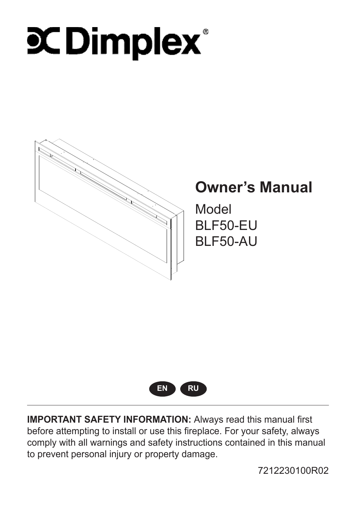# **COimplex**



## **Owner's Manual**

Model BLF50-EU BLF50-AU



**IMPORTANT SAFETY INFORMATION:** Always read this manual first before attempting to install or use this fireplace. For your safety, always comply with all warnings and safety instructions contained in this manual to prevent personal injury or property damage.

7212230100R02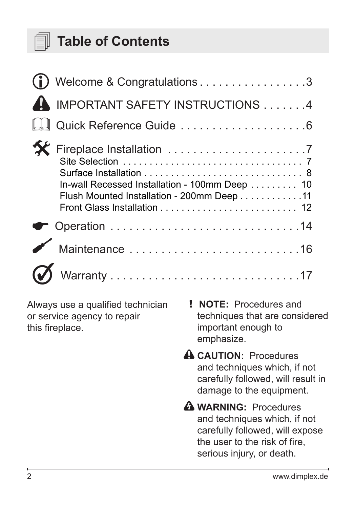

## **Table of Contents**

| Welcome & Congratulations3                                                                  |
|---------------------------------------------------------------------------------------------|
| IMPORTANT SAFETY INSTRUCTIONS 4                                                             |
|                                                                                             |
| In-wall Recessed Installation - 100mm Deep 10<br>Flush Mounted Installation - 200mm Deep 11 |
|                                                                                             |
|                                                                                             |
|                                                                                             |

Always use a qualified technician or service agency to repair this fireplace.

- ! **NOTE:** Procedures and techniques that are considered important enough to emphasize.
- **CAUTION:** Procedures and techniques which, if not carefully followed, will result in damage to the equipment.
- **WARNING:** Procedures and techniques which, if not carefully followed, will expose the user to the risk of fire, serious injury, or death.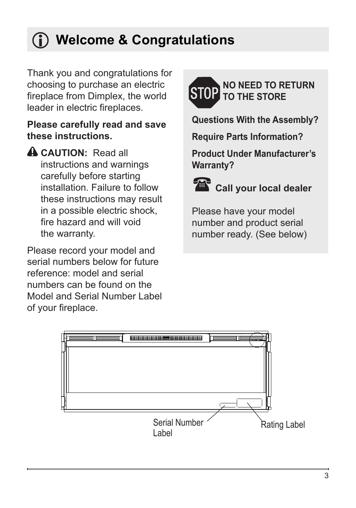## <span id="page-2-0"></span>**Welcome & Congratulations**

Thank you and congratulations for choosing to purchase an electric fireplace from Dimplex, the world leader in electric fireplaces.

#### **Please carefully read and save these instructions.**

**CAUTION:** Read all instructions and warnings carefully before starting installation. Failure to follow these instructions may result in a possible electric shock, fire hazard and will void the warranty.

Please record your model and serial numbers below for future reference: model and serial numbers can be found on the Model and Serial Number Label of your fireplace.



**Questions With the Assembly?**

**Require Parts Information?**

**Product Under Manufacturer's Warranty?**



## *Call your local dealer*

Please have your model number and product serial number ready. (See below)

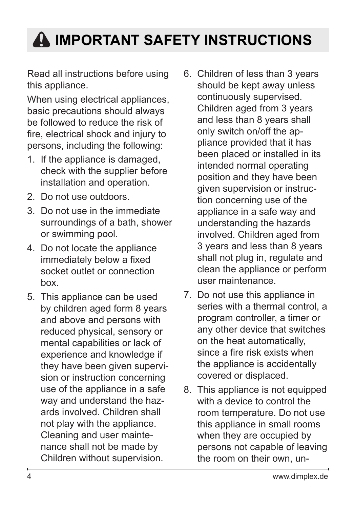## <span id="page-3-0"></span>**IMPORTANT SAFETY INSTRUCTIONS**

Read all instructions before using this appliance.

When using electrical appliances, basic precautions should always be followed to reduce the risk of fire, electrical shock and injury to persons, including the following:

- 1. If the appliance is damaged, check with the supplier before installation and operation.
- 2. Do not use outdoors.
- 3. Do not use in the immediate surroundings of a bath, shower or swimming pool.
- 4. Do not locate the appliance immediately below a fixed socket outlet or connection box.
- 5. This appliance can be used by children aged form 8 years and above and persons with reduced physical, sensory or mental capabilities or lack of experience and knowledge if they have been given supervision or instruction concerning use of the appliance in a safe way and understand the hazards involved. Children shall not play with the appliance. Cleaning and user maintenance shall not be made by Children without supervision.
- 6. Children of less than 3 years should be kept away unless continuously supervised. Children aged from 3 years and less than 8 years shall only switch on/off the appliance provided that it has been placed or installed in its intended normal operating position and they have been given supervision or instruction concerning use of the appliance in a safe way and understanding the hazards involved. Children aged from 3 years and less than 8 years shall not plug in, regulate and clean the appliance or perform user maintenance.
- 7. Do not use this appliance in series with a thermal control, a program controller, a timer or any other device that switches on the heat automatically, since a fire risk exists when the appliance is accidentally covered or displaced.
- 8. This appliance is not equipped with a device to control the room temperature. Do not use this appliance in small rooms when they are occupied by persons not capable of leaving the room on their own, un-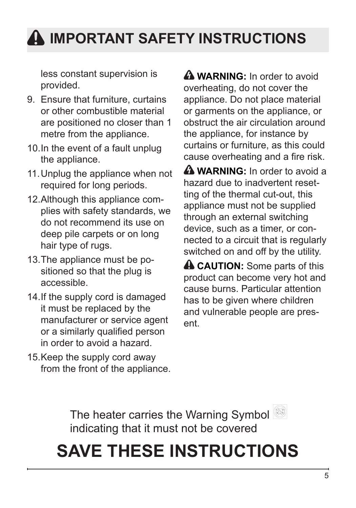## **IMPORTANT SAFETY INSTRUCTIONS**

less constant supervision is provided.

- 9. Ensure that furniture, curtains or other combustible material are positioned no closer than 1 metre from the appliance.
- 10.In the event of a fault unplug the appliance.
- 11.Unplug the appliance when not required for long periods.
- 12.Although this appliance complies with safety standards, we do not recommend its use on deep pile carpets or on long hair type of rugs.
- 13.The appliance must be positioned so that the plug is accessible.
- 14.If the supply cord is damaged it must be replaced by the manufacturer or service agent or a similarly qualified person in order to avoid a hazard.
- 15.Keep the supply cord away from the front of the appliance.

**A WARNING:** In order to avoid overheating, do not cover the appliance. Do not place material or garments on the appliance, or obstruct the air circulation around the appliance, for instance by curtains or furniture, as this could cause overheating and a fire risk.

**A WARNING:** In order to avoid a hazard due to inadvertent resetting of the thermal cut-out, this appliance must not be supplied through an external switching device, such as a timer, or connected to a circuit that is regularly switched on and off by the utility.

**A CAUTION:** Some parts of this product can become very hot and cause burns. Particular attention has to be given where children and vulnerable people are present.

The heater carries the Warning Symbol indicating that it must not be covered

## **SAVE THESE INSTRUCTIONS**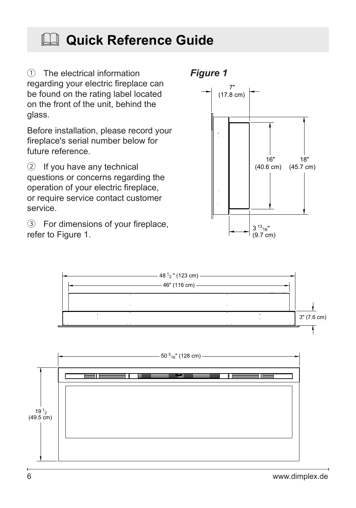## <span id="page-5-0"></span>**Quick Reference Guide**

① The electrical information *Figure 1* regarding your electric fireplace can be found on the rating label located on the front of the unit, behind the glass.

Before installation, please record your fireplace's serial number below for future reference.

② If you have any technical questions or concerns regarding the operation of your electric fireplace, or require service contact customer service.

③ For dimensions of your fireplace, refer to Figure 1.





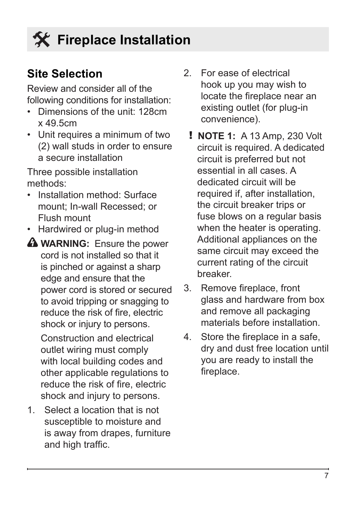### <span id="page-6-0"></span>**Site Selection**

Review and consider all of the following conditions for installation:

- Dimensions of the unit: 128cm x 49.5cm
- Unit requires a minimum of two (2) wall studs in order to ensure a secure installation

Three possible installation methods:

- Installation method: Surface mount; In-wall Recessed; or Flush mount
- Hardwired or plug-in method
- **A WARNING:** Ensure the power cord is not installed so that it is pinched or against a sharp edge and ensure that the power cord is stored or secured to avoid tripping or snagging to reduce the risk of fire, electric shock or injury to persons.

Construction and electrical outlet wiring must comply with local building codes and other applicable regulations to reduce the risk of fire, electric shock and injury to persons.

1. Select a location that is not susceptible to moisture and is away from drapes, furniture and high traffic.

- 2. For ease of electrical hook up you may wish to locate the fireplace near an existing outlet (for plug-in convenience).
	- ! **NOTE 1:** A 13 Amp, 230 Volt circuit is required. A dedicated circuit is preferred but not essential in all cases. A dedicated circuit will be required if, after installation, the circuit breaker trips or fuse blows on a regular basis when the heater is operating. Additional appliances on the same circuit may exceed the current rating of the circuit breaker.
- 3. Remove fireplace, front glass and hardware from box and remove all packaging materials before installation.
- 4. Store the fireplace in a safe, dry and dust free location until you are ready to install the fireplace.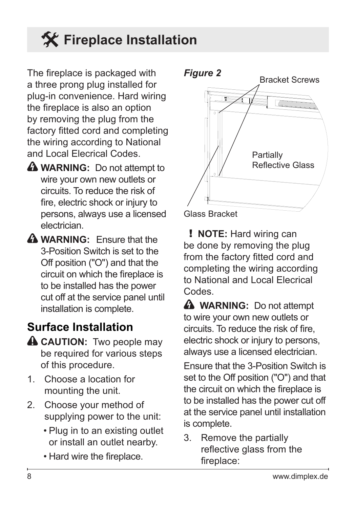<span id="page-7-0"></span>The fireplace is packaged with a three prong plug installed for plug-in convenience. Hard wiring the fireplace is also an option by removing the plug from the factory fitted cord and completing the wiring according to National and Local Elecrical Codes.

- **A** WARNING: Do not attempt to wire your own new outlets or circuits. To reduce the risk of fire, electric shock or injury to persons, always use a licensed electrician.
- **WARNING:** Ensure that the 3-Position Switch is set to the Off position ("O") and that the circuit on which the fireplace is to be installed has the power cut off at the service panel until installation is complete.

### **Surface Installation**

- **A CAUTION:** Two people may be required for various steps of this procedure.
- 1. Choose a location for mounting the unit.
- 2. Choose your method of supplying power to the unit:
	- Plug in to an existing outlet or install an outlet nearby.
	- Hard wire the fireplace.





! **NOTE:** Hard wiring can be done by removing the plug from the factory fitted cord and completing the wiring according to National and Local Elecrical Codes.

**A** WARNING: Do not attempt to wire your own new outlets or circuits. To reduce the risk of fire, electric shock or injury to persons, always use a licensed electrician.

Ensure that the 3-Position Switch is set to the Off position ("O") and that the circuit on which the fireplace is to be installed has the power cut off at the service panel until installation is complete.

3. Remove the partially reflective glass from the fireplace: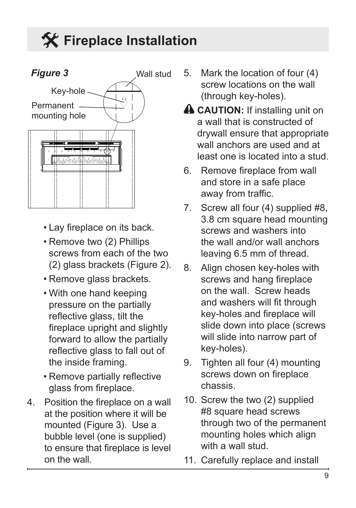

- Lay fireplace on its back.
- Remove two (2) Phillips screws from each of the two (2) glass brackets (Figure 2).
- Remove glass brackets.
- With one hand keeping pressure on the partially reflective glass, tilt the fireplace upright and slightly forward to allow the partially reflective glass to fall out of the inside framing.
- Remove partially reflective glass from fireplace.
- 4. Position the fireplace on a wall at the position where it will be mounted (Figure 3). Use a bubble level (one is supplied) to ensure that fireplace is level on the wall.
- 5. Mark the location of four (4) screw locations on the wall (through key-holes).
- **A CAUTION:** If installing unit on a wall that is constructed of drywall ensure that appropriate wall anchors are used and at least one is located into a stud.
- 6. Remove fireplace from wall and store in a safe place away from traffic.
- 7. Screw all four (4) supplied #8, 3.8 cm square head mounting screws and washers into the wall and/or wall anchors leaving 6.5 mm of thread.
- 8. Align chosen key-holes with screws and hang fireplace on the wall. Screw heads and washers will fit through key-holes and fireplace will slide down into place (screws will slide into narrow part of key-holes).
- 9. Tighten all four (4) mounting screws down on fireplace chassis.
- 10. Screw the two (2) supplied #8 square head screws through two of the permanent mounting holes which align with a wall stud.
- 11. Carefully replace and install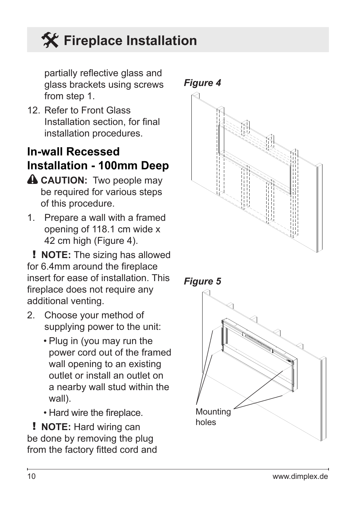<span id="page-9-0"></span>partially reflective glass and glass brackets using screws from step 1.

12. Refer to Front Glass Installation section, for final installation procedures.

### **In-wall Recessed Installation - 100mm Deep**

- **A CAUTION:** Two people may be required for various steps of this procedure.
- 1. Prepare a wall with a framed opening of 118.1 cm wide x 42 cm high (Figure 4).

! **NOTE:** The sizing has allowed for 6.4mm around the fireplace insert for ease of installation. This fireplace does not require any additional venting.

- 2. Choose your method of supplying power to the unit:
	- Plug in (you may run the power cord out of the framed wall opening to an existing outlet or install an outlet on a nearby wall stud within the wall).
	- Hard wire the fireplace.

! **NOTE:** Hard wiring can be done by removing the plug from the factory fitted cord and



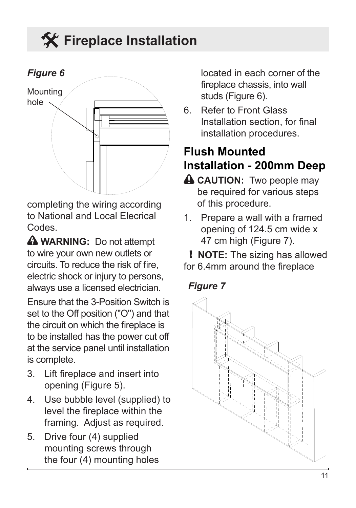<span id="page-10-0"></span>

completing the wiring according to National and Local Elecrical Codes.

**A WARNING:** Do not attempt to wire your own new outlets or circuits. To reduce the risk of fire, electric shock or injury to persons, always use a licensed electrician.

Ensure that the 3-Position Switch is set to the Off position ("O") and that the circuit on which the fireplace is to be installed has the power cut off at the service panel until installation is complete.

- 3. Lift fireplace and insert into opening (Figure 5).
- 4. Use bubble level (supplied) to level the fireplace within the framing. Adjust as required.
- 5. Drive four (4) supplied mounting screws through the four (4) mounting holes

located in each corner of the fireplace chassis, into wall studs (Figure 6).

6. Refer to Front Glass Installation section, for final installation procedures.

### **Flush Mounted Installation - 200mm Deep**

- **A CAUTION:** Two people may be required for various steps of this procedure.
- 1. Prepare a wall with a framed opening of 124.5 cm wide x 47 cm high (Figure 7).

! **NOTE:** The sizing has allowed for 6.4mm around the fireplace

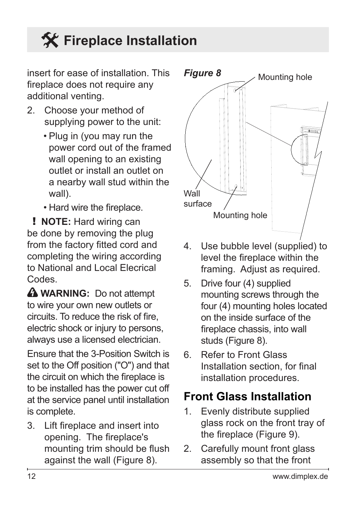<span id="page-11-0"></span>insert for ease of installation. This fireplace does not require any additional venting.

- 2. Choose your method of supplying power to the unit:
	- Plug in (you may run the power cord out of the framed wall opening to an existing outlet or install an outlet on a nearby wall stud within the wall).
	- Hard wire the fireplace.

! **NOTE:** Hard wiring can be done by removing the plug from the factory fitted cord and completing the wiring according to National and Local Elecrical Codes.

**A WARNING:** Do not attempt to wire your own new outlets or circuits. To reduce the risk of fire, electric shock or injury to persons, always use a licensed electrician.

Ensure that the 3-Position Switch is set to the Off position ("O") and that the circuit on which the fireplace is to be installed has the power cut off at the service panel until installation is complete.

3. Lift fireplace and insert into opening. The fireplace's mounting trim should be flush against the wall (Figure 8).



- 4. Use bubble level (supplied) to level the fireplace within the framing. Adjust as required.
- 5. Drive four (4) supplied mounting screws through the four (4) mounting holes located on the inside surface of the fireplace chassis, into wall studs (Figure 8).
- 6. Refer to Front Glass Installation section, for final installation procedures.

### **Front Glass Installation**

- 1. Evenly distribute supplied glass rock on the front tray of the fireplace (Figure 9).
- 2. Carefully mount front glass assembly so that the front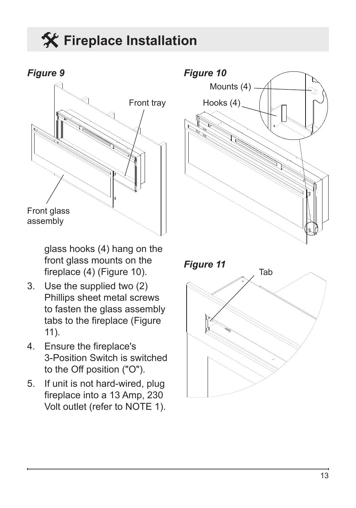

glass hooks (4) hang on the front glass mounts on the fireplace (4) (Figure 10).

- 3. Use the supplied two (2) Phillips sheet metal screws to fasten the glass assembly tabs to the fireplace (Figure 11).
- 4. Ensure the fireplace's 3-Position Switch is switched to the Off position ("O").
- 5. If unit is not hard-wired, plug fireplace into a 13 Amp, 230 Volt outlet (refer to NOTE 1).



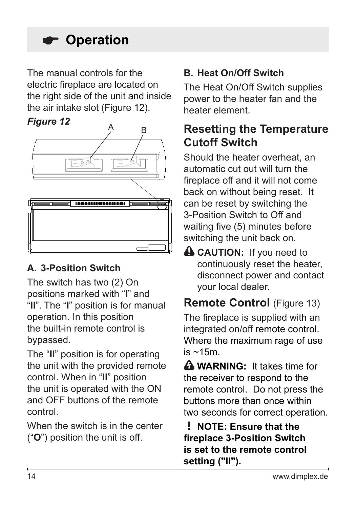## <span id="page-13-0"></span> **Operation**

The manual controls for the electric fireplace are located on the right side of the unit and inside the air intake slot (Figure 12).

#### *Figure 12*



### **A. 3-Position Switch**

The switch has two (2) On positions marked with "**I**" and "**II**". The "**I**" position is for manual operation. In this position the built-in remote control is bypassed.

The "**II**" position is for operating the unit with the provided remote control. When in "**II**" position the unit is operated with the ON and OFF buttons of the remote control.

When the switch is in the center ("**O**") position the unit is off.

### **B. Heat On/Off Switch**

The Heat On/Off Switch supplies power to the heater fan and the heater element.

### **Resetting the Temperature Cutoff Switch**

Should the heater overheat, an automatic cut out will turn the fireplace off and it will not come back on without being reset. It can be reset by switching the 3-Position Switch to Off and waiting five (5) minutes before switching the unit back on.

**A CAUTION:** If you need to continuously reset the heater, disconnect power and contact your local dealer.

### **Remote Control** (Figure 13) The fireplace is supplied with an integrated on/off remote control.

Where the maximum rage of use  $is \sim 15m$ .

 **WARNING:** It takes time for the receiver to respond to the remote control. Do not press the buttons more than once within two seconds for correct operation.

! **NOTE: Ensure that the fireplace 3-Position Switch is set to the remote control setting ("II").**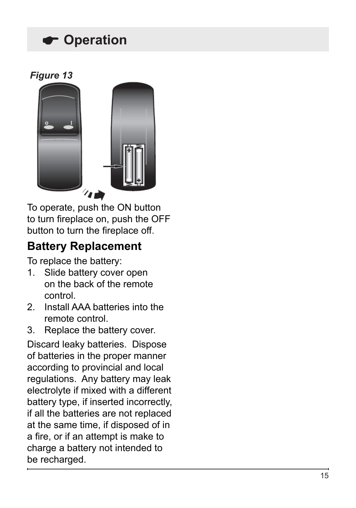## **Operation**





To operate, push the ON button to turn fireplace on, push the OFF button to turn the fireplace off.

### **Battery Replacement**

To replace the battery:

- 1. Slide battery cover open on the back of the remote control.
- 2. Install AAA batteries into the remote control.
- 3. Replace the battery cover.

Discard leaky batteries. Dispose of batteries in the proper manner according to provincial and local regulations. Any battery may leak electrolyte if mixed with a different battery type, if inserted incorrectly, if all the batteries are not replaced at the same time, if disposed of in a fire, or if an attempt is make to charge a battery not intended to be recharged.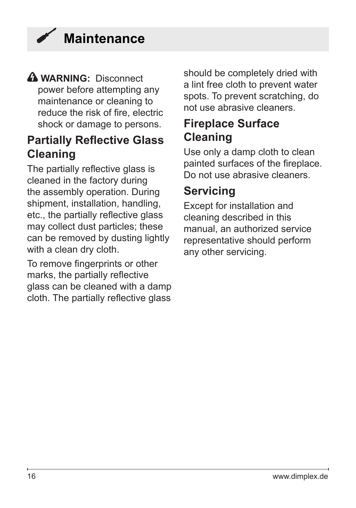<span id="page-15-0"></span>

#### **WARNING:** Disconnect power before attempting any maintenance or cleaning to reduce the risk of fire, electric shock or damage to persons.

### **Partially Reflective Glass Cleaning**

The partially reflective glass is cleaned in the factory during the assembly operation. During shipment, installation, handling, etc., the partially reflective glass may collect dust particles; these can be removed by dusting lightly with a clean dry cloth.

To remove fingerprints or other marks, the partially reflective glass can be cleaned with a damp cloth. The partially reflective glass should be completely dried with a lint free cloth to prevent water spots. To prevent scratching, do not use abrasive cleaners.

### **Fireplace Surface Cleaning**

Use only a damp cloth to clean painted surfaces of the fireplace. Do not use abrasive cleaners.

### **Servicing**

Except for installation and cleaning described in this manual, an authorized service representative should perform any other servicing.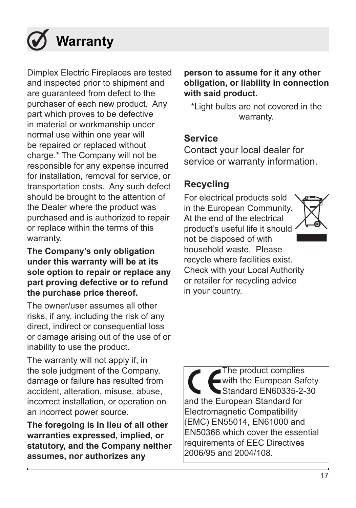## <span id="page-16-0"></span> **Warranty**

Dimplex Electric Fireplaces are tested and inspected prior to shipment and are guaranteed from defect to the purchaser of each new product. Any part which proves to be defective in material or workmanship under normal use within one year will be repaired or replaced without charge.\* The Company will not be responsible for any expense incurred for installation, removal for service, or transportation costs. Any such defect should be brought to the attention of the Dealer where the product was purchased and is authorized to repair or replace within the terms of this warranty.

#### **The Company's only obligation under this warranty will be at its sole option to repair or replace any part proving defective or to refund the purchase price thereof.**

The owner/user assumes all other risks, if any, including the risk of any direct, indirect or consequential loss or damage arising out of the use of or inability to use the product.

The warranty will not apply if, in the sole judgment of the Company, damage or failure has resulted from accident, alteration, misuse, abuse, incorrect installation, or operation on an incorrect power source.

**The foregoing is in lieu of all other warranties expressed, implied, or statutory, and the Company neither assumes, nor authorizes any** 

#### **person to assume for it any other obligation, or liability in connection with said product.**

\*Light bulbs are not covered in the warranty.

#### **Service**

Contact your local dealer for service or warranty information.

### **Recycling**

For electrical products sold in the European Community. At the end of the electrical product's useful life it should not be disposed of with household waste. Please recycle where facilities exist. Check with your Local Authority or retailer for recycling advice in your country.



The product complies with the European Safety Standard EN60335-2-30 and the European Standard for Electromagnetic Compatibility (EMC) EN55014, EN61000 and EN50366 which cover the essential requirements of EEC Directives 2006/95 and 2004/108.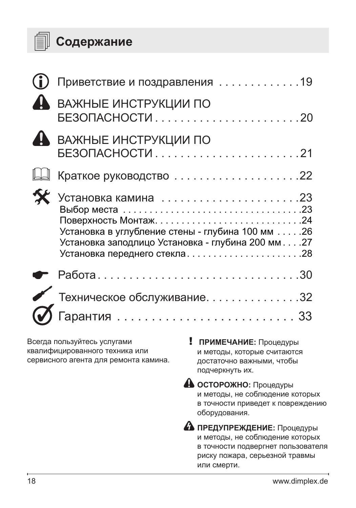

|                                                                                                        | Приветствие и поздравления 19                                                                                                          |                                                                                                                        |  |
|--------------------------------------------------------------------------------------------------------|----------------------------------------------------------------------------------------------------------------------------------------|------------------------------------------------------------------------------------------------------------------------|--|
|                                                                                                        | ВАЖНЫЕ ИНСТРУКЦИИ ПО                                                                                                                   |                                                                                                                        |  |
|                                                                                                        | ВАЖНЫЕ ИНСТРУКЦИИ ПО                                                                                                                   |                                                                                                                        |  |
|                                                                                                        |                                                                                                                                        |                                                                                                                        |  |
|                                                                                                        | Установка в углубление стены - глубина 100 мм 26<br>Установка заподлицо Установка - глубина 200 мм. 27<br>Установка переднего стекла28 |                                                                                                                        |  |
|                                                                                                        | Paбота30                                                                                                                               |                                                                                                                        |  |
|                                                                                                        | Техническое обслуживание32                                                                                                             |                                                                                                                        |  |
|                                                                                                        |                                                                                                                                        |                                                                                                                        |  |
| Всегда пользуйтесь услугами<br>квалифицированного техника или<br>сервисного агента для ремонта камина. |                                                                                                                                        | ПРИМЕЧАНИЕ: Процедуры<br>и методы, которые считаются<br>достаточно важными, чтобы<br>подчеркнуть их.                   |  |
|                                                                                                        |                                                                                                                                        | <b>А осторожно:</b> Процедуры<br>и методы, не соблюдение которых<br>в точности приведет к повреждению<br>оборудования. |  |

**А предупреждение:** Процедуры и методы, не соблюдение которых в точности подвергнет пользователя риску пожара, серьезной травмы или смерти.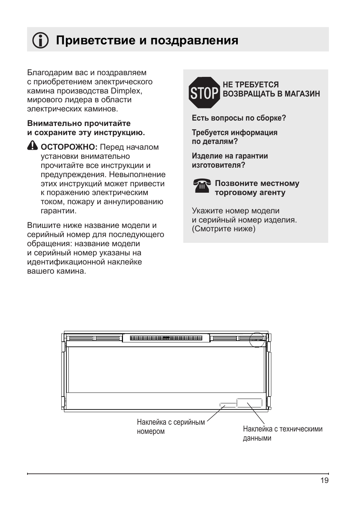## <span id="page-18-0"></span>**Приветствие и поздравления**

Благодарим вас и поздравляем с приобретением электрического камина производства Dimplex, мирового лидера в области электрических каминов.

#### **Внимательно прочитайте и сохраните эту инструкцию.**

**<sup>4</sup>** ОСТОРОЖНО: Перед началом установки внимательно прочитайте все инструкции и предупреждения. Невыполнение этих инструкций может привести к поражению электрическим током, пожару и аннулированию гарантии.

Впишите ниже название модели и серийный номер для последующего обращения: название модели и серийный номер указаны на идентификационной наклейке вашего камина.



**Есть вопросы по сборке?**

**Требуется информация по деталям?**

**Изделие на гарантии изготовителя?**



#### **• Позвоните местному торговому агенту**

Укажите номер модели и серийный номер изделия. (Смотрите ниже)

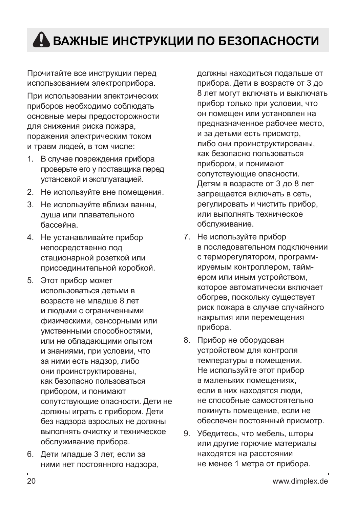## <span id="page-19-0"></span> **ВАЖНЫЕ ИНСТРУКЦИИ ПО БЕЗОПАСНОСТИ**

Прочитайте все инструкции перед использованием электроприбора.

При использовании электрических приборов необходимо соблюдать основные меры предосторожности для снижения риска пожара, поражения электрическим током и травм людей, в том числе:

- 1. В случае повреждения прибора проверьте его у поставщика перед установкой и эксплуатацией.
- 2. Не используйте вне помещения.
- 3. Не используйте вблизи ванны, душа или плавательного бассейна.
- 4. Не устанавливайте прибор непосредственно под стационарной розеткой или присоединительной коробкой.
- 5. Этот прибор может использоваться детьми в возрасте не младше 8 лет и людьми с ограниченными физическими, сенсорными или умственными способностями, или не обладающими опытом и знаниями, при условии, что за ними есть надзор, либо они проинструктированы, как безопасно пользоваться прибором, и понимают сопутствующие опасности. Дети не должны играть с прибором. Дети без надзора взрослых не должны выполнять очистку и техническое обслуживание прибора.
- 6. Дети младше 3 лет, если за ними нет постоянного надзора,

должны находиться подальше от прибора. Дети в возрасте от 3 до 8 лет могут включать и выключать прибор только при условии, что он помещен или установлен на предназначенное рабочее место, и за детьми есть присмотр, либо они проинструктированы, как безопасно пользоваться прибором, и понимают сопутствующие опасности. Детям в возрасте от 3 до 8 лет запрещается включать в сеть, регулировать и чистить прибор, или выполнять техническое обслуживание.

- 7. Не используйте прибор в последовательном подключении с терморегулятором, программируемым контроллером, таймером или иным устройством, которое автоматически включает обогрев, поскольку существует риск пожара в случае случайного накрытия или перемещения прибора.
- 8. Прибор не оборудован устройством для контроля температуры в помещении. Не используйте этот прибор в маленьких помещениях, если в них находятся люди, не способные самостоятельно покинуть помещение, если не обеспечен постоянный присмотр.
- 9. Убедитесь, что мебель, шторы или другие горючие материалы находятся на расстоянии не менее 1 метра от прибора.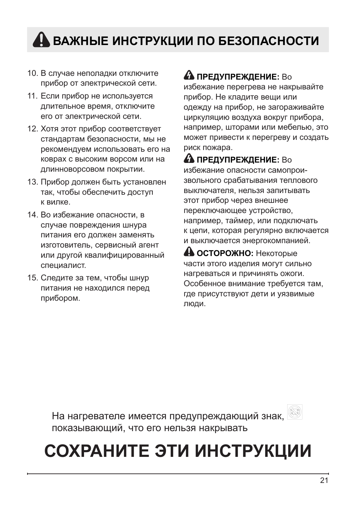## <span id="page-20-0"></span> **ВАЖНЫЕ ИНСТРУКЦИИ ПО БЕЗОПАСНОСТИ**

- 10. В случае неполадки отключите прибор от электрической сети.
- 11. Если прибор не используется длительное время, отключите его от электрической сети.
- 12. Хотя этот прибор соответствует стандартам безопасности, мы не рекомендуем использовать его на коврах с высоким ворсом или на длинноворсовом покрытии.
- 13. Прибор должен быть установлен так, чтобы обеспечить доступ к вилке.
- 14. Во избежание опасности, в случае повреждения шнура питания его должен заменять изготовитель, сервисный агент или другой квалифицированный специалист.
- 15. Следите за тем, чтобы шнур питания не находился перед прибором.

### **А ПРЕДУПРЕЖДЕНИЕ: Во**

избежание перегрева не накрывайте прибор. Не кладите вещи или одежду на прибор, не загораживайте циркуляцию воздуха вокруг прибора, например, шторами или мебелью, это может привести к перегреву и создать риск пожара.

 **ПРЕДУПРЕЖДЕНИЕ:** Во избежание опасности самопроизвольного срабатывания теплового выключателя, нельзя запитывать этот прибор через внешнее переключающее устройство, например, таймер, или подключать к цепи, которая регулярно включается и выключается энергокомпанией.

**<sup>4</sup>** ОСТОРОЖНО: Некоторые части этого изделия могут сильно нагреваться и причинять ожоги. Особенное внимание требуется там, где присутствуют дети и уязвимые люди.

На нагревателе имеется предупреждающий знак, показывающий, что его нельзя накрывать

## **СОХРАНИТЕ ЭТИ ИНСТРУКЦИИ**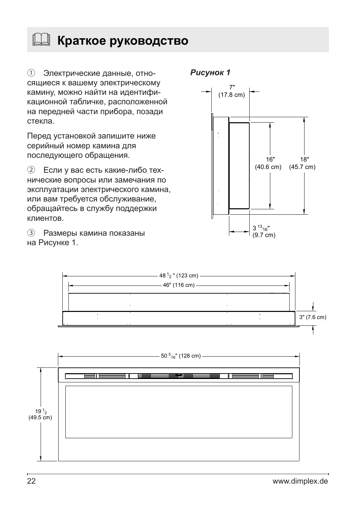<span id="page-21-0"></span>**Краткое руководство**

① Электрические данные, отно- *Рисунок 1* сящиеся к вашему электрическому камину, можно найти на идентификационной табличке, расположенной на передней части прибора, позади стекла.

Перед установкой запишите ниже серийный номер камина для последующего обращения.

② Если у вас есть какие-либо технические вопросы или замечания по эксплуатации электрического камина, или вам требуется обслуживание, обращайтесь в службу поддержки клиентов.

③ Размеры камина показаны на Рисунке 1.







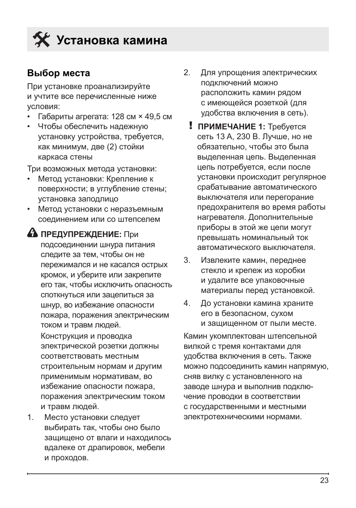<span id="page-22-0"></span>

#### **Выбор места**

При установке проанализируйте и учтите все перечисленные ниже условия:

- Габариты агрегата: 128 см × 49,5 см
- Чтобы обеспечить надежную установку устройства, требуется, как минимум, две (2) стойки каркаса стены

Три возможных метода установки:

- Метод установки: Крепление к поверхности; в углубление стены; установка заподлицо
- Метод установки с неразъемным соединением или со штепселем
- **А ПРЕДУПРЕЖДЕНИЕ:** При подсоединении шнура питания следите за тем, чтобы он не пережимался и не касался острых кромок, и уберите или закрепите его так, чтобы исключить опасность споткнуться или зацепиться за шнур, во избежание опасности пожара, поражения электрическим током и травм людей. Конструкция и проводка электрической розетки должны соответствовать местным строительным нормам и другим применимым нормативам, во избежание опасности пожара, поражения электрическим током и травм людей.
- 1. Место установки следует выбирать так, чтобы оно было защищено от влаги и находилось вдалеке от драпировок, мебели и проходов.
- 2. Для упрощения электрических подключений можно расположить камин рядом с имеющейся розеткой (для удобства включения в сеть).
	- ! **ПРИМЕЧАНИЕ 1:** Требуется сеть 13 A, 230 В. Лучше, но не обязательно, чтобы это была выделенная цепь. Выделенная цепь потребуется, если после установки происходит регулярное срабатывание автоматического выключателя или перегорание предохранителя во время работы нагревателя. Дополнительные приборы в этой же цепи могут превышать номинальный ток автоматического выключателя.
- 3. Извлеките камин, переднее стекло и крепеж из коробки и удалите все упаковочные материалы перед установкой.
- 4. До установки камина храните его в безопасном, сухом и защищенном от пыли месте.

Камин укомплектован штепсельной вилкой с тремя контактами для удобства включения в сеть. Также можно подсоединить камин напрямую, сняв вилку с установленного на заводе шнура и выполнив подключение проводки в соответствии с государственными и местными электротехническими нормами.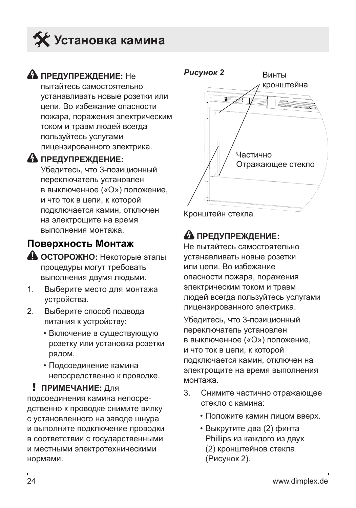<span id="page-23-0"></span>

#### **А предупреждение:** Не

пытайтесь самостоятельно устанавливать новые розетки или цепи. Во избежание опасности пожара, поражения электрическим током и травм людей всегда пользуйтесь услугами лицензированного электрика.

#### **А ПРЕДУПРЕЖДЕНИЕ:**

Убедитесь, что 3-позиционный переключатель установлен в выключенное («O») положение, и что ток в цепи, к которой подключается камин, отключен на электрощите на время выполнения монтажа.

#### **Поверхность Монтаж**

- **ОСТОРОЖНО:** Некоторые этапы процедуры могут требовать выполнения двумя людьми.
- 1. Выберите место для монтажа устройства.
- 2. Выберите способ подвода питания к устройству:
	- Включение в существующую розетку или установка розетки рядом.
	- Подсоединение камина непосредственно к проводке.

#### ! **ПРИМЕЧАНИЕ:** Для

подсоединения камина непосредственно к проводке снимите вилку с установленного на заводе шнура и выполните подключение проводки в соответствии с государственными и местными электротехническими нормами.



Кронштейн стекла

### **А ПРЕДУПРЕЖДЕНИЕ:**

Не пытайтесь самостоятельно устанавливать новые розетки или цепи. Во избежание опасности пожара, поражения электрическим током и травм людей всегда пользуйтесь услугами лицензированного электрика.

Убедитесь, что 3-позиционный переключатель установлен в выключенное («O») положение, и что ток в цепи, к которой подключается камин, отключен на электрощите на время выполнения монтажа.

- 3. Снимите частично отражающее стекло с камина:
	- Положите камин лицом вверх.
	- Выкрутите два (2) финта Phillips из каждого из двух (2) кронштейнов стекла (Рисунок 2).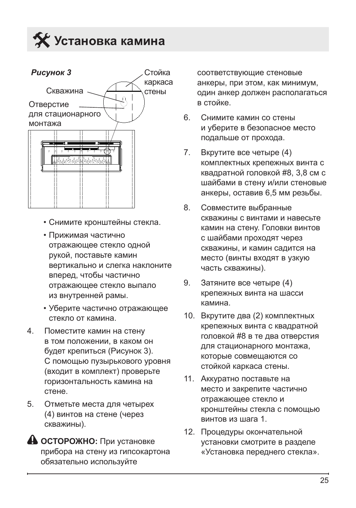



- Снимите кронштейны стекла.
- Прижимая частично отражающее стекло одной рукой, поставьте камин вертикально и слегка наклоните вперед, чтобы частично отражающее стекло выпало из внутренней рамы.
- Уберите частично отражающее стекло от камина.
- 4. Поместите камин на стену в том положении, в каком он будет крепиться (Рисунок 3). С помощью пузырькового уровня (входит в комплект) проверьте горизонтальность камина на стене.
- 5. Отметьте места для четырех (4) винтов на стене (через скважины).
- **ОСТОРОЖНО:** При установке прибора на стену из гипсокартона обязательно используйте

соответствующие стеновые анкеры, при этом, как минимум, один анкер должен располагаться в стойке.

- 6. Снимите камин со стены и уберите в безопасное место подальше от прохода.
- 7. Вкрутите все четыре (4) комплектных крепежных винта с квадратной головкой #8, 3,8 см с шайбами в стену и/или стеновые анкеры, оставив 6,5 мм резьбы.
- 8. Совместите выбранные скважины с винтами и навесьте камин на стену. Головки винтов с шайбами проходят через скважины, и камин садится на место (винты входят в узкую часть скважины).
- 9. Затяните все четыре (4) крепежных винта на шасси камина.
- 10. Вкрутите два (2) комплектных крепежных винта с квадратной головкой #8 в те два отверстия для стационарного монтажа, которые совмещаются со стойкой каркаса стены.
- 11. Аккуратно поставьте на место и закрепите частично отражающее стекло и кронштейны стекла с помощью винтов из шага 1.
- 12. Процедуры окончательной установки смотрите в разделе «Установка переднего стекла».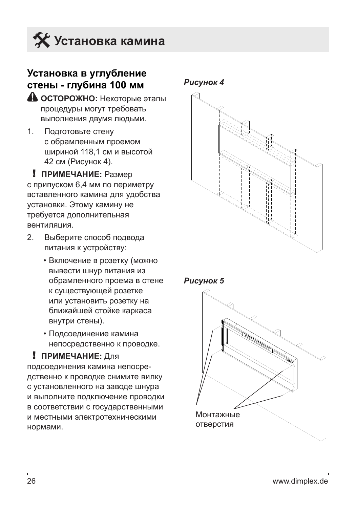<span id="page-25-0"></span>

#### **Установка в углубление стены - глубина 100 мм**

- **А ОСТОРОЖНО:** Некоторые этапы процедуры могут требовать выполнения двумя людьми.
- 1. Подготовьте стену с обрамленным проемом шириной 118,1 см и высотой 42 см (Рисунок 4).

! **ПРИМЕЧАНИЕ:** Размер с припуском 6,4 мм по периметру вставленного камина для удобства установки. Этому камину не требуется дополнительная вентиляция.

- 2. Выберите способ подвода питания к устройству:
	- Включение в розетку (можно вывести шнур питания из обрамленного проема в стене к существующей розетке или установить розетку на ближайшей стойке каркаса внутри стены).
	- Подсоединение камина непосредственно к проводке.

#### ! **ПРИМЕЧАНИЕ:** Для

подсоединения камина непосредственно к проводке снимите вилку с установленного на заводе шнура и выполните подключение проводки в соответствии с государственными и местными электротехническими нормами.



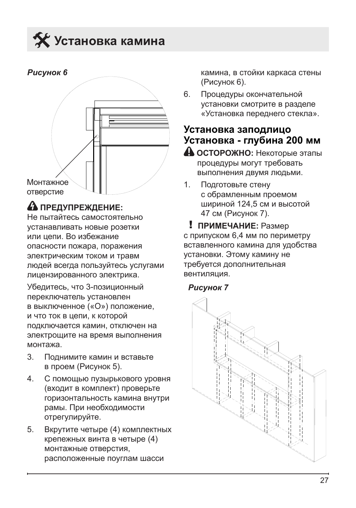## <span id="page-26-0"></span>**Установка камина**



### **А ПРЕДУПРЕЖДЕНИЕ:**

Не пытайтесь самостоятельно устанавливать новые розетки или цепи. Во избежание опасности пожара, поражения электрическим током и травм людей всегда пользуйтесь услугами лицензированного электрика.

Убедитесь, что 3-позиционный переключатель установлен в выключенное («O») положение, и что ток в цепи, к которой подключается камин, отключен на электрощите на время выполнения монтажа.

- 3. Поднимите камин и вставьте в проем (Рисунок 5).
- 4. С помощью пузырькового уровня (входит в комплект) проверьте горизонтальность камина внутри рамы. При необходимости отрегулируйте.
- 5. Вкрутите четыре (4) комплектных крепежных винта в четыре (4) монтажные отверстия, расположенные поуглам шасси

камина, в стойки каркаса стены (Рисунок 6).

6. Процедуры окончательной установки смотрите в разделе «Установка переднего стекла».

#### **Установка заподлицо Установка - глубина 200 мм**

- **ОСТОРОЖНО:** Некоторые этапы процедуры могут требовать выполнения двумя людьми.
- 1. Подготовьте стену с обрамленным проемом шириной 124,5 см и высотой 47 см (Рисунок 7).

! **ПРИМЕЧАНИЕ:** Размер с припуском 6,4 мм по периметру вставленного камина для удобства установки. Этому камину не требуется дополнительная вентиляция.

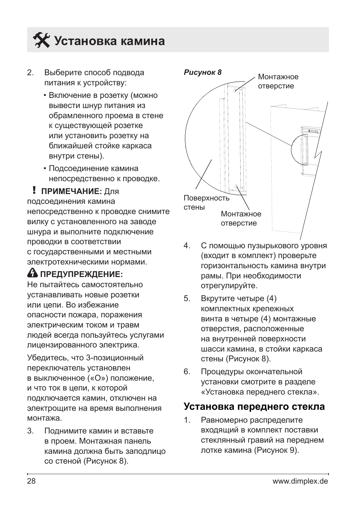<span id="page-27-0"></span>

- 2. Выберите способ подвода питания к устройству:
	- Включение в розетку (можно вывести шнур питания из обрамленного проема в стене к существующей розетке или установить розетку на ближайшей стойке каркаса внутри стены).
	- Подсоединение камина непосредственно к проводке.

#### ! **ПРИМЕЧАНИЕ:** Для

подсоединения камина непосредственно к проводке снимите вилку с установленного на заводе шнура и выполните подключение проводки в соответствии с государственными и местными электротехническими нормами.

#### **А ПРЕДУПРЕЖДЕНИЕ:**

Не пытайтесь самостоятельно устанавливать новые розетки или цепи. Во избежание опасности пожара, поражения электрическим током и травм людей всегда пользуйтесь услугами лицензированного электрика.

Убедитесь, что 3-позиционный переключатель установлен в выключенное («O») положение, и что ток в цепи, к которой подключается камин, отключен на электрощите на время выполнения монтажа.

3. Поднимите камин и вставьте в проем. Монтажная панель камина должна быть заподлицо со стеной (Рисунок 8).



- 4. С помощью пузырькового уровня (входит в комплект) проверьте горизонтальность камина внутри рамы. При необходимости отрегулируйте.
- 5. Вкрутите четыре (4) комплектных крепежных винта в четыре (4) монтажные отверстия, расположенные на внутренней поверхности шасси камина, в стойки каркаса стены (Рисунок 8).
- 6. Процедуры окончательной установки смотрите в разделе «Установка переднего стекла».

#### **Установка переднего стекла**

1. Равномерно распределите входящий в комплект поставки стеклянный гравий на переднем лотке камина (Рисунок 9).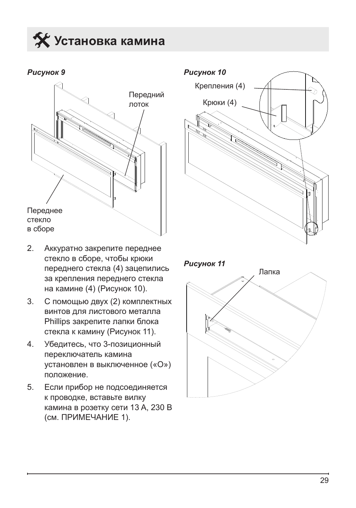**Установка камина** 

*Рисунок 9*



- 2. Аккуратно закрепите переднее стекло в сборе, чтобы крюки переднего стекла (4) зацепились за крепления переднего стекла на камине (4) (Рисунок 10).
- 3. С помощью двух (2) комплектных винтов для листового металла Phillips закрепите лапки блока стекла к камину (Рисунок 11).
- 4. Убедитесь, что 3-позиционный переключатель камина установлен в выключенное («O») положение.
- 5. Если прибор не подсоединяется к проводке, вставьте вилку камина в розетку сети 13 A, 230 В (см. ПРИМЕЧАНИЕ 1).



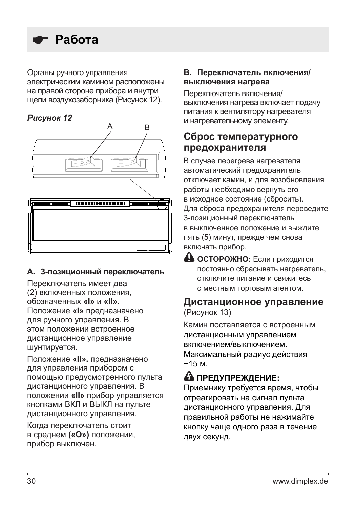<span id="page-29-0"></span>

Органы ручного управления электрическим камином расположены на правой стороне прибора и внутри щели воздухозаборника (Рисунок 12).





#### **A. 3-позиционный переключатель**

Переключатель имеет два (2) включенных положения, обозначенных **«I»** и **«II».** Положение **«I»** предназначено для ручного управления. В этом положении встроенное дистанционное управление шунтируется.

Положение **«II».** предназначено для управления прибором с помощью предусмотренного пульта дистанционного управления. В положении **«II»** прибор управляется кнопками ВКЛ и ВЫКЛ на пульте дистанционного управления.

Когда переключатель стоит в среднем **(«O»)** положении, прибор выключен.

#### **B. Переключатель включения/ выключения нагрева**

Переключатель включения/ выключения нагрева включает подачу питания к вентилятору нагревателя и нагревательному элементу.

#### **Сброс температурного предохранителя**

В случае перегрева нагревателя автоматический предохранитель отключает камин, и для возобновления работы необходимо вернуть его в исходное состояние (сбросить). Для сброса предохранителя переведите 3-позиционный переключатель в выключенное положение и выждите пять (5) минут, прежде чем снова включать прибор.

**4 ОСТОРОЖНО:** Если приходится постоянно сбрасывать нагреватель, отключите питание и свяжитесь с местным торговым агентом.

#### **Дистанционное управление** (Рисунок 13)

Камин поставляется с встроенным дистанционным управлением включением/выключением. Максимальный радиус действия  $~15m$ 

### **А ПРЕДУПРЕЖДЕНИЕ:**

Приемнику требуется время, чтобы отреагировать на сигнал пульта дистанционного управления. Для правильной работы не нажимайте кнопку чаще одного раза в течение двух секунд.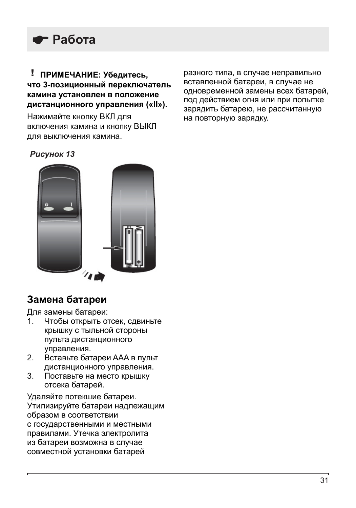

#### ! **ПРИМЕЧАНИЕ: Убедитесь, что 3-позиционный переключатель камина установлен в положение дистанционного управления («II»).**

Нажимайте кнопку ВКЛ для включения камина и кнопку ВЫКЛ для выключения камина.

разного типа, в случае неправильно вставленной батареи, в случае не одновременной замены всех батарей, под действием огня или при попытке зарядить батарею, не рассчитанную на повторную зарядку.

#### *Рисунок 13*



#### **Замена батареи**

Для замены батареи:<br>1 Чтобы открыть от

- Чтобы открыть отсек, сдвиньте крышку с тыльной стороны пульта дистанционного управления.
- 2. Вставьте батареи AAA в пульт дистанционного управления.
- 3. Поставьте на место крышку отсека батарей.

Удаляйте потекшие батареи. Утилизируйте батареи надлежащим образом в соответствии с государственными и местными правилами. Утечка электролита из батареи возможна в случае совместной установки батарей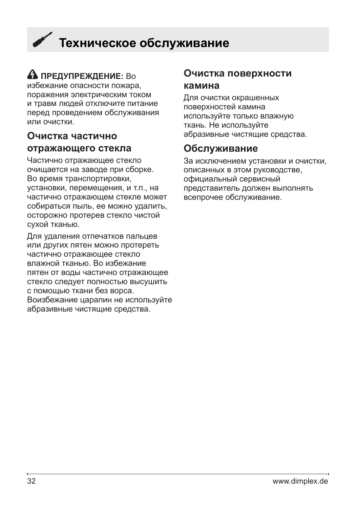## <span id="page-31-0"></span> **Техническое обслуживание**

### **ПРЕДУПРЕЖДЕНИЕ:** Во

избежание опасности пожара, поражения электрическим током и травм людей отключите питание перед проведением обслуживания или очистки.

#### **Очистка частично отражающего стекла**

Частично отражающее стекло очищается на заводе при сборке. Во время транспортировки, установки, перемещения, и т.п., на частично отражающем стекле может собираться пыль, ее можно удалить, осторожно протерев стекло чистой сухой тканью.

Для удаления отпечатков пальцев или других пятен можно протереть частично отражающее стекло влажной тканью. Во избежание пятен от воды частично отражающее стекло следует полностью высушить с помощью ткани без ворса. Воизбежание царапин не используйте абразивные чистящие средства.

#### **Очистка поверхности камина**

Для очистки окрашенных поверхностей камина используйте только влажную ткань. Не используйте абразивные чистящие средства.

#### **Обслуживание**

За исключением установки и очистки, описанных в этом руководстве, официальный сервисный представитель должен выполнять всепрочее обслуживание.